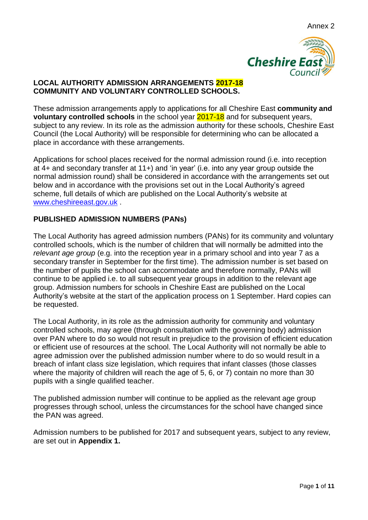

## **LOCAL AUTHORITY ADMISSION ARRANGEMENTS 2017-18 COMMUNITY AND VOLUNTARY CONTROLLED SCHOOLS.**

These admission arrangements apply to applications for all Cheshire East **community and voluntary controlled schools** in the school year 2017-18 and for subsequent years, subject to any review. In its role as the admission authority for these schools, Cheshire East Council (the Local Authority) will be responsible for determining who can be allocated a place in accordance with these arrangements.

Applications for school places received for the normal admission round (i.e. into reception at 4+ and secondary transfer at 11+) and 'in year' (i.e. into any year group outside the normal admission round) shall be considered in accordance with the arrangements set out below and in accordance with the provisions set out in the Local Authority's agreed scheme, full details of which are published on the Local Authority's website at [www.cheshireeast.gov.uk](http://www.cheshireeast.gov.uk/) .

# **PUBLISHED ADMISSION NUMBERS (PANs)**

The Local Authority has agreed admission numbers (PANs) for its community and voluntary controlled schools, which is the number of children that will normally be admitted into the *relevant age group* (e.g. into the reception year in a primary school and into year 7 as a secondary transfer in September for the first time). The admission number is set based on the number of pupils the school can accommodate and therefore normally, PANs will continue to be applied i.e. to all subsequent year groups in addition to the relevant age group. Admission numbers for schools in Cheshire East are published on the Local Authority's website at the start of the application process on 1 September. Hard copies can be requested.

The Local Authority, in its role as the admission authority for community and voluntary controlled schools, may agree (through consultation with the governing body) admission over PAN where to do so would not result in prejudice to the provision of efficient education or efficient use of resources at the school. The Local Authority will not normally be able to agree admission over the published admission number where to do so would result in a breach of infant class size legislation, which requires that infant classes (those classes where the majority of children will reach the age of 5, 6, or 7) contain no more than 30 pupils with a single qualified teacher.

The published admission number will continue to be applied as the relevant age group progresses through school, unless the circumstances for the school have changed since the PAN was agreed.

Admission numbers to be published for 2017 and subsequent years, subject to any review, are set out in **Appendix 1.**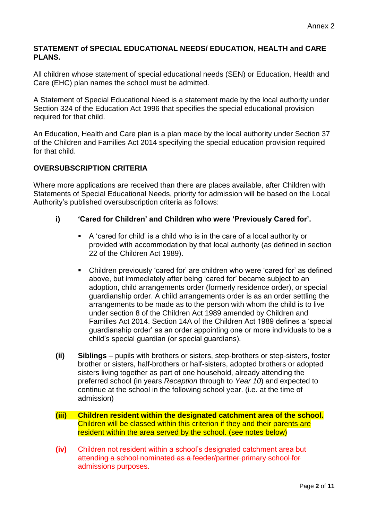### **STATEMENT of SPECIAL EDUCATIONAL NEEDS/ EDUCATION, HEALTH and CARE PLANS.**

All children whose statement of special educational needs (SEN) or Education, Health and Care (EHC) plan names the school must be admitted.

A Statement of Special Educational Need is a statement made by the local authority under Section 324 of the Education Act 1996 that specifies the special educational provision required for that child.

An Education, Health and Care plan is a plan made by the local authority under Section 37 of the Children and Families Act 2014 specifying the special education provision required for that child.

## **OVERSUBSCRIPTION CRITERIA**

Where more applications are received than there are places available, after Children with Statements of Special Educational Needs, priority for admission will be based on the Local Authority's published oversubscription criteria as follows:

### **i) 'Cared for Children' and Children who were 'Previously Cared for'.**

- A 'cared for child' is a child who is in the care of a local authority or provided with accommodation by that local authority (as defined in section 22 of the Children Act 1989).
- Children previously 'cared for' are children who were 'cared for' as defined above, but immediately after being 'cared for' became subject to an adoption, child arrangements order (formerly residence order), or special guardianship order. A child arrangements order is as an order settling the arrangements to be made as to the person with whom the child is to live under section 8 of the Children Act 1989 amended by Children and Families Act 2014. Section 14A of the Children Act 1989 defines a 'special guardianship order' as an order appointing one or more individuals to be a child's special guardian (or special guardians).
- **(ii) Siblings** pupils with brothers or sisters, step-brothers or step-sisters, foster brother or sisters, half-brothers or half-sisters, adopted brothers or adopted sisters living together as part of one household, already attending the preferred school (in years *Reception* through to *Year 10*) and expected to continue at the school in the following school year. (i.e. at the time of admission)
- **(iii) Children resident within the designated catchment area of the school.** Children will be classed within this criterion if they and their parents are resident within the area served by the school. (see notes below)
- **(iv)** Children not resident within a school's designated catchment area but attending a school nominated as a feeder/partner primary school for admissions purposes.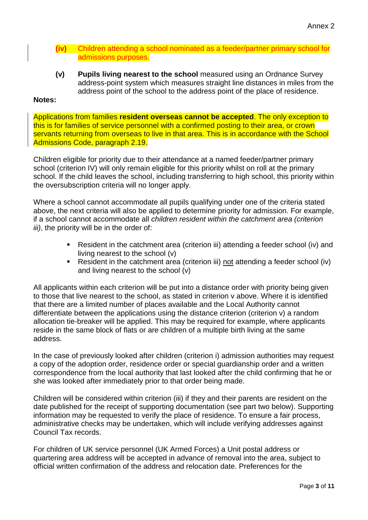- **(iv)** Children attending a school nominated as a feeder/partner primary school for admissions purposes.
- **(v) Pupils living nearest to the school** measured using an Ordnance Survey address-point system which measures straight line distances in miles from the address point of the school to the address point of the place of residence.

#### **Notes:**

Applications from families **resident overseas cannot be accepted**. The only exception to this is for families of service personnel with a confirmed posting to their area, or crown servants returning from overseas to live in that area. This is in accordance with the School Admissions Code, paragraph 2.19.

Children eligible for priority due to their attendance at a named feeder/partner primary school (criterion IV) will only remain eligible for this priority whilst on roll at the primary school. If the child leaves the school, including transferring to high school, this priority within the oversubscription criteria will no longer apply.

Where a school cannot accommodate all pupils qualifying under one of the criteria stated above, the next criteria will also be applied to determine priority for admission. For example, if a school cannot accommodate all *children resident within the catchment area (criterion iii*), the priority will be in the order of:

- Resident in the catchment area (criterion iii) attending a feeder school (iv) and living nearest to the school (v)
- Resident in the catchment area (criterion iii) not attending a feeder school (iv) and living nearest to the school (v)

All applicants within each criterion will be put into a distance order with priority being given to those that live nearest to the school, as stated in criterion v above. Where it is identified that there are a limited number of places available and the Local Authority cannot differentiate between the applications using the distance criterion (criterion v) a random allocation tie-breaker will be applied. This may be required for example, where applicants reside in the same block of flats or are children of a multiple birth living at the same address.

In the case of previously looked after children (criterion i) admission authorities may request a copy of the adoption order, residence order or special guardianship order and a written correspondence from the local authority that last looked after the child confirming that he or she was looked after immediately prior to that order being made.

Children will be considered within criterion (iii) if they and their parents are resident on the date published for the receipt of supporting documentation (see part two below). Supporting information may be requested to verify the place of residence. To ensure a fair process, administrative checks may be undertaken, which will include verifying addresses against Council Tax records.

For children of UK service personnel (UK Armed Forces) a Unit postal address or quartering area address will be accepted in advance of removal into the area, subject to official written confirmation of the address and relocation date. Preferences for the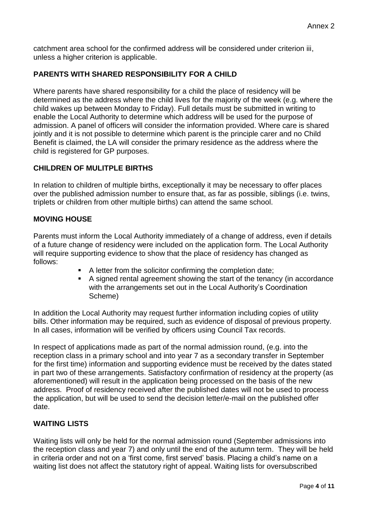catchment area school for the confirmed address will be considered under criterion iii, unless a higher criterion is applicable.

# **PARENTS WITH SHARED RESPONSIBILITY FOR A CHILD**

Where parents have shared responsibility for a child the place of residency will be determined as the address where the child lives for the majority of the week (e.g. where the child wakes up between Monday to Friday). Full details must be submitted in writing to enable the Local Authority to determine which address will be used for the purpose of admission. A panel of officers will consider the information provided. Where care is shared jointly and it is not possible to determine which parent is the principle carer and no Child Benefit is claimed, the LA will consider the primary residence as the address where the child is registered for GP purposes.

## **CHILDREN OF MULITPLE BIRTHS**

In relation to children of multiple births, exceptionally it may be necessary to offer places over the published admission number to ensure that, as far as possible, siblings (i.e. twins, triplets or children from other multiple births) can attend the same school.

### **MOVING HOUSE**

Parents must inform the Local Authority immediately of a change of address, even if details of a future change of residency were included on the application form. The Local Authority will require supporting evidence to show that the place of residency has changed as follows:

- A letter from the solicitor confirming the completion date;
- A signed rental agreement showing the start of the tenancy (in accordance with the arrangements set out in the Local Authority's Coordination Scheme)

In addition the Local Authority may request further information including copies of utility bills. Other information may be required, such as evidence of disposal of previous property. In all cases, information will be verified by officers using Council Tax records.

In respect of applications made as part of the normal admission round, (e.g. into the reception class in a primary school and into year 7 as a secondary transfer in September for the first time) information and supporting evidence must be received by the dates stated in part two of these arrangements. Satisfactory confirmation of residency at the property (as aforementioned) will result in the application being processed on the basis of the new address. Proof of residency received after the published dates will not be used to process the application, but will be used to send the decision letter/e-mail on the published offer date.

## **WAITING LISTS**

Waiting lists will only be held for the normal admission round (September admissions into the reception class and year 7) and only until the end of the autumn term. They will be held in criteria order and not on a 'first come, first served' basis. Placing a child's name on a waiting list does not affect the statutory right of appeal. Waiting lists for oversubscribed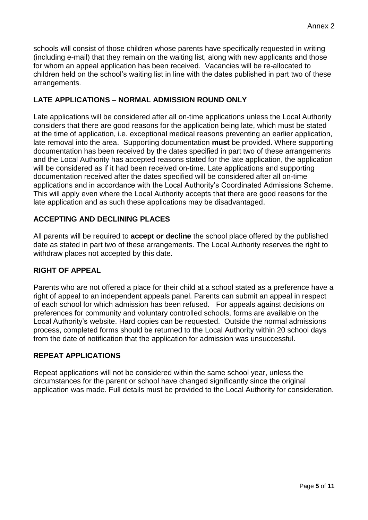schools will consist of those children whose parents have specifically requested in writing (including e-mail) that they remain on the waiting list, along with new applicants and those for whom an appeal application has been received. Vacancies will be re-allocated to children held on the school's waiting list in line with the dates published in part two of these arrangements.

# **LATE APPLICATIONS – NORMAL ADMISSION ROUND ONLY**

Late applications will be considered after all on-time applications unless the Local Authority considers that there are good reasons for the application being late, which must be stated at the time of application, i.e. exceptional medical reasons preventing an earlier application, late removal into the area. Supporting documentation **must** be provided. Where supporting documentation has been received by the dates specified in part two of these arrangements and the Local Authority has accepted reasons stated for the late application, the application will be considered as if it had been received on-time. Late applications and supporting documentation received after the dates specified will be considered after all on-time applications and in accordance with the Local Authority's Coordinated Admissions Scheme. This will apply even where the Local Authority accepts that there are good reasons for the late application and as such these applications may be disadvantaged.

## **ACCEPTING AND DECLINING PLACES**

All parents will be required to **accept or decline** the school place offered by the published date as stated in part two of these arrangements. The Local Authority reserves the right to withdraw places not accepted by this date.

### **RIGHT OF APPEAL**

Parents who are not offered a place for their child at a school stated as a preference have a right of appeal to an independent appeals panel. Parents can submit an appeal in respect of each school for which admission has been refused. For appeals against decisions on preferences for community and voluntary controlled schools, forms are available on the Local Authority's website. Hard copies can be requested. Outside the normal admissions process, completed forms should be returned to the Local Authority within 20 school days from the date of notification that the application for admission was unsuccessful.

# **REPEAT APPLICATIONS**

Repeat applications will not be considered within the same school year, unless the circumstances for the parent or school have changed significantly since the original application was made. Full details must be provided to the Local Authority for consideration.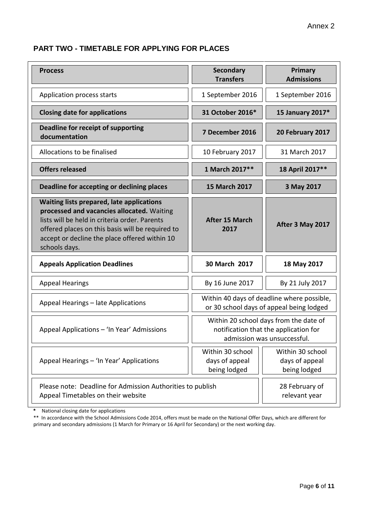# **PART TWO - TIMETABLE FOR APPLYING FOR PLACES**

| <b>Process</b>                                                                                                                                                                                                                                                        | <b>Secondary</b><br><b>Transfers</b>                                                                           | Primary<br><b>Admissions</b>                       |
|-----------------------------------------------------------------------------------------------------------------------------------------------------------------------------------------------------------------------------------------------------------------------|----------------------------------------------------------------------------------------------------------------|----------------------------------------------------|
| Application process starts                                                                                                                                                                                                                                            | 1 September 2016                                                                                               | 1 September 2016                                   |
| <b>Closing date for applications</b>                                                                                                                                                                                                                                  | 31 October 2016*                                                                                               | 15 January 2017*                                   |
| Deadline for receipt of supporting<br>documentation                                                                                                                                                                                                                   | 7 December 2016                                                                                                | 20 February 2017                                   |
| Allocations to be finalised                                                                                                                                                                                                                                           | 10 February 2017                                                                                               | 31 March 2017                                      |
| <b>Offers released</b>                                                                                                                                                                                                                                                | 1 March 2017**                                                                                                 | 18 April 2017**                                    |
| Deadline for accepting or declining places                                                                                                                                                                                                                            | <b>15 March 2017</b>                                                                                           | 3 May 2017                                         |
| <b>Waiting lists prepared, late applications</b><br>processed and vacancies allocated. Waiting<br>lists will be held in criteria order. Parents<br>offered places on this basis will be required to<br>accept or decline the place offered within 10<br>schools days. | <b>After 15 March</b><br>2017                                                                                  | After 3 May 2017                                   |
| <b>Appeals Application Deadlines</b>                                                                                                                                                                                                                                  | 30 March 2017                                                                                                  | 18 May 2017                                        |
| <b>Appeal Hearings</b>                                                                                                                                                                                                                                                | By 16 June 2017                                                                                                | By 21 July 2017                                    |
| Appeal Hearings - late Applications                                                                                                                                                                                                                                   | Within 40 days of deadline where possible,<br>or 30 school days of appeal being lodged                         |                                                    |
| Appeal Applications - 'In Year' Admissions                                                                                                                                                                                                                            | Within 20 school days from the date of<br>notification that the application for<br>admission was unsuccessful. |                                                    |
| Appeal Hearings - 'In Year' Applications                                                                                                                                                                                                                              | Within 30 school<br>days of appeal<br>being lodged                                                             | Within 30 school<br>days of appeal<br>being lodged |
| Please note: Deadline for Admission Authorities to publish<br>Appeal Timetables on their website                                                                                                                                                                      |                                                                                                                | 28 February of<br>relevant year                    |

**\*** National closing date for applications

\*\* In accordance with the School Admissions Code 2014, offers must be made on the National Offer Days, which are different for primary and secondary admissions (1 March for Primary or 16 April for Secondary) or the next working day.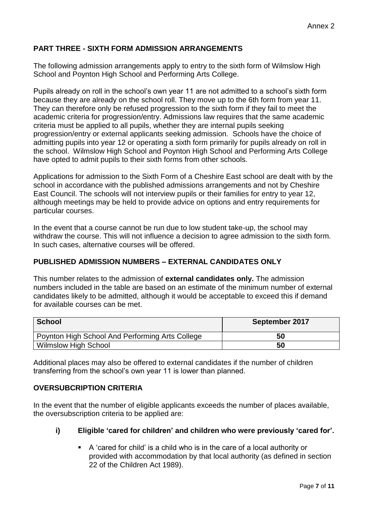# **PART THREE - SIXTH FORM ADMISSION ARRANGEMENTS**

The following admission arrangements apply to entry to the sixth form of Wilmslow High School and Poynton High School and Performing Arts College.

Pupils already on roll in the school's own year 11 are not admitted to a school's sixth form because they are already on the school roll. They move up to the 6th form from year 11. They can therefore only be refused progression to the sixth form if they fail to meet the academic criteria for progression/entry. Admissions law requires that the same academic criteria must be applied to all pupils, whether they are internal pupils seeking progression/entry or external applicants seeking admission. Schools have the choice of admitting pupils into year 12 or operating a sixth form primarily for pupils already on roll in the school. Wilmslow High School and Poynton High School and Performing Arts College have opted to admit pupils to their sixth forms from other schools.

Applications for admission to the Sixth Form of a Cheshire East school are dealt with by the school in accordance with the published admissions arrangements and not by Cheshire East Council. The schools will not interview pupils or their families for entry to year 12, although meetings may be held to provide advice on options and entry requirements for particular courses.

In the event that a course cannot be run due to low student take-up, the school may withdraw the course. This will not influence a decision to agree admission to the sixth form. In such cases, alternative courses will be offered.

# **PUBLISHED ADMISSION NUMBERS – EXTERNAL CANDIDATES ONLY**

This number relates to the admission of **external candidates only.** The admission numbers included in the table are based on an estimate of the minimum number of external candidates likely to be admitted, although it would be acceptable to exceed this if demand for available courses can be met.

| School                                          | September 2017 |
|-------------------------------------------------|----------------|
| Poynton High School And Performing Arts College | 50             |
| <b>Wilmslow High School</b>                     | 50             |

Additional places may also be offered to external candidates if the number of children transferring from the school's own year 11 is lower than planned.

### **OVERSUBCRIPTION CRITERIA**

In the event that the number of eligible applicants exceeds the number of places available, the oversubscription criteria to be applied are:

### **i) Eligible 'cared for children' and children who were previously 'cared for'.**

 A 'cared for child' is a child who is in the care of a local authority or provided with accommodation by that local authority (as defined in section 22 of the Children Act 1989).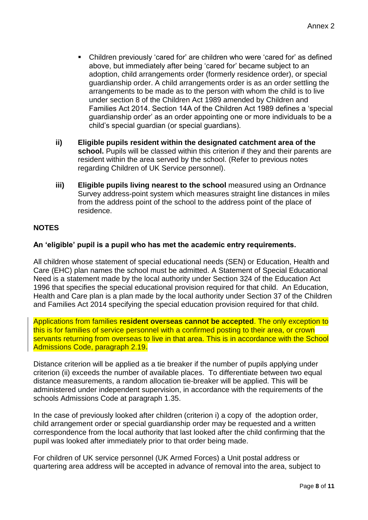- Children previously 'cared for' are children who were 'cared for' as defined above, but immediately after being 'cared for' became subject to an adoption, child arrangements order (formerly residence order), or special guardianship order. A child arrangements order is as an order settling the arrangements to be made as to the person with whom the child is to live under section 8 of the Children Act 1989 amended by Children and Families Act 2014. Section 14A of the Children Act 1989 defines a 'special guardianship order' as an order appointing one or more individuals to be a child's special guardian (or special guardians).
- **ii) Eligible pupils resident within the designated catchment area of the school.** Pupils will be classed within this criterion if they and their parents are resident within the area served by the school. (Refer to previous notes regarding Children of UK Service personnel).
- **iii)** Eligible pupils living nearest to the school measured using an Ordnance Survey address-point system which measures straight line distances in miles from the address point of the school to the address point of the place of residence.

# **NOTES**

## **An 'eligible' pupil is a pupil who has met the academic entry requirements.**

All children whose statement of special educational needs (SEN) or Education, Health and Care (EHC) plan names the school must be admitted. A Statement of Special Educational Need is a statement made by the local authority under Section 324 of the Education Act 1996 that specifies the special educational provision required for that child. An Education, Health and Care plan is a plan made by the local authority under Section 37 of the Children and Families Act 2014 specifying the special education provision required for that child.

Applications from families **resident overseas cannot be accepted**. The only exception to this is for families of service personnel with a confirmed posting to their area, or crown servants returning from overseas to live in that area. This is in accordance with the School Admissions Code, paragraph 2.19**.**

Distance criterion will be applied as a tie breaker if the number of pupils applying under criterion (ii) exceeds the number of available places. To differentiate between two equal distance measurements, a random allocation tie-breaker will be applied. This will be administered under independent supervision, in accordance with the requirements of the schools Admissions Code at paragraph 1.35.

In the case of previously looked after children (criterion i) a copy of the adoption order, child arrangement order or special guardianship order may be requested and a written correspondence from the local authority that last looked after the child confirming that the pupil was looked after immediately prior to that order being made.

For children of UK service personnel (UK Armed Forces) a Unit postal address or quartering area address will be accepted in advance of removal into the area, subject to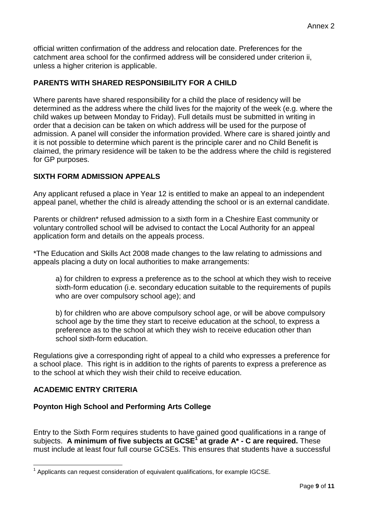official written confirmation of the address and relocation date. Preferences for the catchment area school for the confirmed address will be considered under criterion ii, unless a higher criterion is applicable.

# **PARENTS WITH SHARED RESPONSIBILITY FOR A CHILD**

Where parents have shared responsibility for a child the place of residency will be determined as the address where the child lives for the majority of the week (e.g. where the child wakes up between Monday to Friday). Full details must be submitted in writing in order that a decision can be taken on which address will be used for the purpose of admission. A panel will consider the information provided. Where care is shared jointly and it is not possible to determine which parent is the principle carer and no Child Benefit is claimed, the primary residence will be taken to be the address where the child is registered for GP purposes.

## **SIXTH FORM ADMISSION APPEALS**

Any applicant refused a place in Year 12 is entitled to make an appeal to an independent appeal panel, whether the child is already attending the school or is an external candidate.

Parents or children\* refused admission to a sixth form in a Cheshire East community or voluntary controlled school will be advised to contact the Local Authority for an appeal application form and details on the appeals process.

\*The Education and Skills Act 2008 made changes to the law relating to admissions and appeals placing a duty on local authorities to make arrangements:

a) for children to express a preference as to the school at which they wish to receive sixth-form education (i.e. secondary education suitable to the requirements of pupils who are over compulsory school age); and

b) for children who are above compulsory school age, or will be above compulsory school age by the time they start to receive education at the school, to express a preference as to the school at which they wish to receive education other than school sixth-form education.

Regulations give a corresponding right of appeal to a child who expresses a preference for a school place. This right is in addition to the rights of parents to express a preference as to the school at which they wish their child to receive education.

## **ACADEMIC ENTRY CRITERIA**

1

### **Poynton High School and Performing Arts College**

Entry to the Sixth Form requires students to have gained good qualifications in a range of subjects. **A minimum of five subjects at GCSE<sup>1</sup> at grade A\* - C are required.** These must include at least four full course GCSEs. This ensures that students have a successful

 $1$  Applicants can request consideration of equivalent qualifications, for example IGCSE.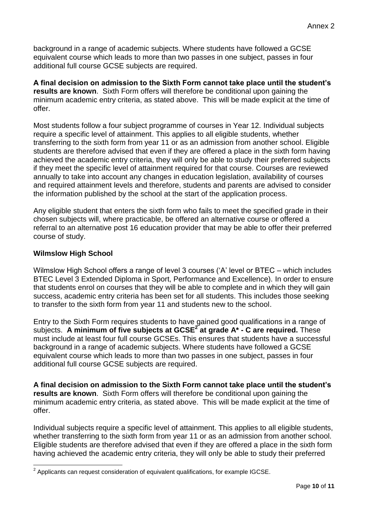background in a range of academic subjects. Where students have followed a GCSE equivalent course which leads to more than two passes in one subject, passes in four additional full course GCSE subjects are required.

**A final decision on admission to the Sixth Form cannot take place until the student's results are known**. Sixth Form offers will therefore be conditional upon gaining the minimum academic entry criteria, as stated above. This will be made explicit at the time of offer.

Most students follow a four subject programme of courses in Year 12. Individual subjects require a specific level of attainment. This applies to all eligible students, whether transferring to the sixth form from year 11 or as an admission from another school. Eligible students are therefore advised that even if they are offered a place in the sixth form having achieved the academic entry criteria, they will only be able to study their preferred subjects if they meet the specific level of attainment required for that course. Courses are reviewed annually to take into account any changes in education legislation, availability of courses and required attainment levels and therefore, students and parents are advised to consider the information published by the school at the start of the application process.

Any eligible student that enters the sixth form who fails to meet the specified grade in their chosen subjects will, where practicable, be offered an alternative course or offered a referral to an alternative post 16 education provider that may be able to offer their preferred course of study.

## **Wilmslow High School**

Wilmslow High School offers a range of level 3 courses ('A' level or BTEC – which includes BTEC Level 3 Extended Diploma in Sport, Performance and Excellence). In order to ensure that students enrol on courses that they will be able to complete and in which they will gain success, academic entry criteria has been set for all students. This includes those seeking to transfer to the sixth form from year 11 and students new to the school.

Entry to the Sixth Form requires students to have gained good qualifications in a range of subjects. **A minimum of five subjects at GCSE<sup>2</sup> at grade A\* - C are required.** These must include at least four full course GCSEs. This ensures that students have a successful background in a range of academic subjects. Where students have followed a GCSE equivalent course which leads to more than two passes in one subject, passes in four additional full course GCSE subjects are required.

**A final decision on admission to the Sixth Form cannot take place until the student's results are known**. Sixth Form offers will therefore be conditional upon gaining the minimum academic entry criteria, as stated above. This will be made explicit at the time of offer.

Individual subjects require a specific level of attainment. This applies to all eligible students, whether transferring to the sixth form from year 11 or as an admission from another school. Eligible students are therefore advised that even if they are offered a place in the sixth form having achieved the academic entry criteria, they will only be able to study their preferred

 2 Applicants can request consideration of equivalent qualifications, for example IGCSE.